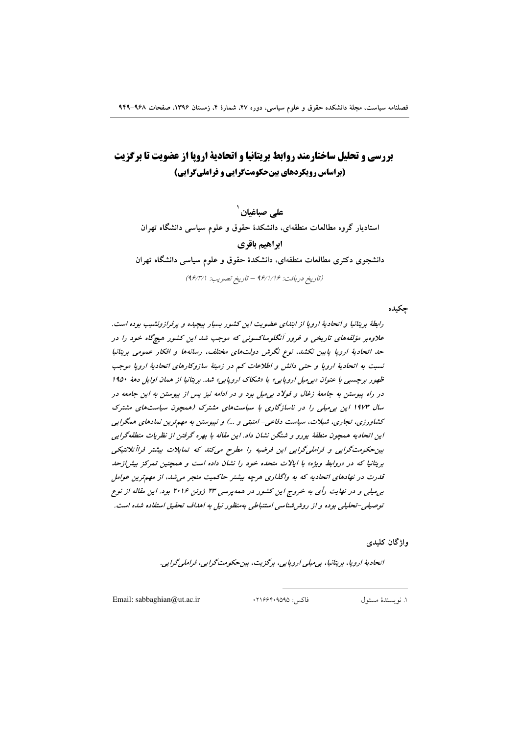# بررسی و تحلیل ساختارمند روابط بریتانیا و اتحادیة اروپا از عضویت تا برگزیت (براساس رویکردهای بینحکومتگرایی و فراملیگرایی)

علے صباغیان <sup>'</sup> استادیار گروه مطالعات منطقهای، دانشکدهٔ حقوق و علوم سیاسی دانشگاه تهران ابراهيم باقرى دانشجوی دکتری مطالعات منطقهای، دانشکدهٔ حقوق و علوم سیاسی دانشگاه تهران

(تاريخ دريافت: 1/1/19 - تاريخ تصويب: 1/4/1/1)

چکیده

رابطهٔ بریتانیا و اتحادیهٔ اروپا از ابتدای عضویت این کشور بسیار پیچیده و پرفرازونشیب بوده است. علاوهبر مؤلفههای تاریخی و غرور آنگلوساکسونی که موجب شد این کشور هیچگاه خود را در حد اتحادیهٔ اروپا پایین نکشد، نوع نگرش دولتهای مختلف، رسانهها و افکار عمومی بریتانیا نسبت به اتحادیهٔ اروپا و حتبی دانش و اطلاعات کم در زمینهٔ سازوکارهای اتحادیهٔ اروپا موجب ظهور برجسپي با عنوان «پې ميل اروپايي» يا «شكاك اروپايي» شد. برېتانيا از همان اوايل دهۀ ١٩٥٠ در راه پیوستن به جامعهٔ زغال و فولاد بی میل بود و در ادامه نیز پس از پیوستن به این جامعه در سال ۱۹۷۳ این به میلی را در ناسازگاری با سیاستهای مشترک (همچون سیاستهای مشترک کشاورزی، تجاری، شیلات، سیاست دفاعی- امنیتی و …) و نیپوستن به مهمترین نمادهای همگرایی این اتحادیه همچون منطقهٔ یورو و شنگن نشان داد. این مقاله با بهره گرفتن از نظریات منطقهگرایی بین حکومت گرایی و فراملی گرایی این فرضیه را مطرح می کند که تمایلات بیشتر فراآتلانتیکی بریتانیا که در «روابط ویژه» با ایالات متحده خود را نشان داده است و همچنین تمرکز بیشر/زحد قدرت در نهادهای اتحادیه که به واگذاری هرچه بیشتر حاکمیت منجر می شد. از مهم ترین عوامل به میلی و در نهایت رأی به خروج این کشور در همه پرسی ۲۳ ژوئن ۲۰۱۶ بود. این مقاله از نوع توصيفي-تحليلي بوده و از روش شناسي استنباطي به منظور نيل به اهداف تحقيق استفاده شده است.

وإژگان كليدى

انحاديۀ اروپا، برېتانيا، بې مېلې اروپايې، برگزېت، بين حکومت گرايې، فراملې گرايې.

Email: sabbaghian@ut.ac.ir

فاكس: ١٢١۶۶۴٠٩۵٩۵

١. نويسندة مسئول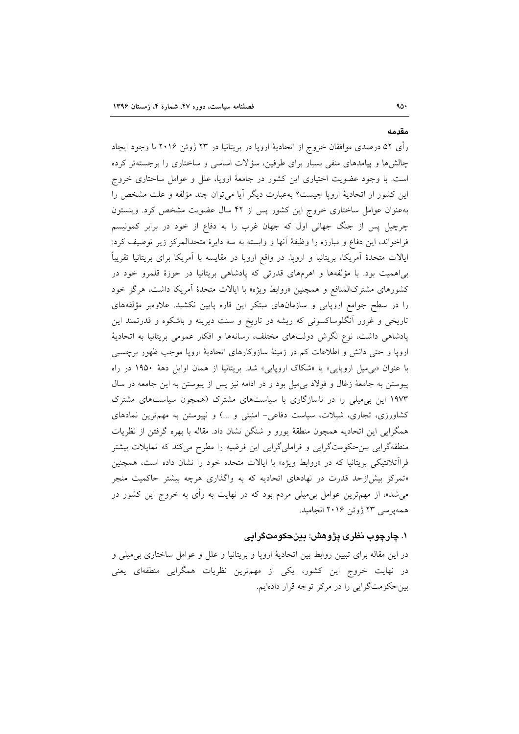#### مقدمه

۹۵۰

رأى ۵۲ درصدي موافقان خروج از اتحاديهٔ اروپا در بريتانيا در ۲۳ ژوئن ۲۰۱۶ با وجود ايجاد چالشها و پیامدهای منفی بسیار برای طرفین، سؤالات اساسی و ساختاری را برجستهتر کرده است. با وجود عضویت اختیاری این کشور در جامعهٔ اروپا، علل و عوامل ساختاری خروج این کشور از اتحادیهٔ اروپا چیست؟ بهعبارت دیگر أیا میتوان چند مؤلفه و علت مشخص را بهعنوان عوامل ساختاری خروج این کشور پس از ۴۲ سال عضویت مشخص کرد. وینستون چرچیل پس از جنگ جهانی اول که جهان غرب را به دفاع از خود در برابر کمونیسم فراخواند، این دفاع و مبارزه را وظیفهٔ أنها و وابسته به سه دایرهٔ متحدالمرکز زیر توصیف کرد: ایالات متحدهٔ اَمریکا، بریتانیا و اروپا. در واقع اروپا در مقایسه با اَمریکا برای بریتانیا تقریباً بیاهمیت بود. با مؤلفهها و اهرمهای قدرتی که پادشاهی بریتانیا در حوزهٔ قلمرو خود در کشورهای مشترکالمنافع و همچنین «روابط ویژه» با ایالات متحدهٔ اَمریکا داشت، هرگز خود را در سطح جوامع اروپایی و سازمانهای مبتکر این قاره پایین نکشید. علاوهبر مؤلفههای تاریخی و غرور اّنگلوساکسونی که ریشه در تاریخ و سنت دیرینه و باشکوه و قدرتمند این پادشاهی داشت، نوع نگرش دولتهای مختلف، رسانهها و افکار عمومی بریتانیا به اتحادیهٔ اروپا و حتی دانش و اطلاعات کم در زمینهٔ سازوکارهای اتحادیهٔ اروپا موجب ظهور برچسبی با عنوان «بی میل اروپایی» یا «شکاک اروپایی» شد. بریتانیا از همان اوایل دههٔ ۱۹۵۰ در راه پیوستن به جامعهٔ زغال و فولاد بیمیل بود و در ادامه نیز پس از پیوستن به این جامعه در سال ۱۹۷۳ این بی میلی را در ناسازگاری با سیاستهای مشترک (همچون سیاستهای مشترک کشاورزی، تجاری، شیلات، سیاست دفاعی- امنیتی و ...) و نپیوستن به مهمترین نمادهای همگرایی این اتحادیه همچون منطقهٔ یورو و شنگن نشان داد. مقاله با بهره گرفتن از نظریات منطقهگرایی بینحکومتگرایی و فراملیگرایی این فرضیه را مطرح میکند که تمایلات بیشتر فرااًتلانتیکی بریتانیا که در «روابط ویژه» با ایالات متحده خود را نشان داده است، همچنین «تمرکز بیش|زحد قدرت در نهادهای اتحادیه که به واگذاری هرچه بیشتر حاکمیت منجر میشد»، از مهمترین عوامل بیمیلی مردم بود که در نهایت به رأی به خروج این کشور در همه پر سبي ۲۳ ژوئن ۲۰۱۶ انجاميد.

### ۱. چارچوب نظری پژوهش: بینحکومتگرایی

در این مقاله برای تبیین روابط بین اتحادیهٔ اروپا و بریتانیا و علل و عوامل ساختاری بی۵میلی و در نهایت خروج این کشور، یکی از مهمترین نظریات همگرایی منطقهای یعنی بین حکومتگرایی را در مرکز توجه قرار دادهایم.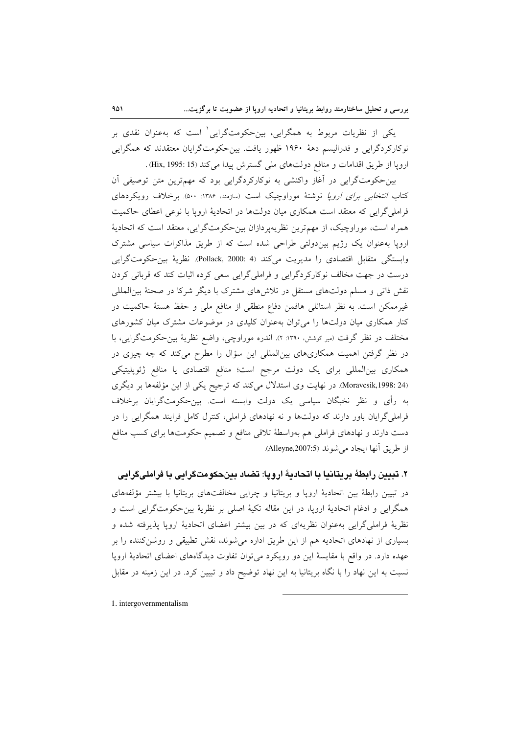یکی از نظریات مربوط به همگرایی، بین-حکومتگرایی ٰ است که بهعنوان نقدی بر نوکارکردگرایی و فدرالیسم دههٔ ۱۹۶۰ ظهور یافت. بین حکومتگرایان معتقدند که همگرایی ارويا از طريق اقدامات و منافع دولتهاى ملى گسترش پيدا مى كند (Hix, 1995: 15) .

بین حکومتگرایی در آغاز واکنشی به نوکارکردگرایی بود که مهمترین متن توصیفی آن کتاب *انتخابی برای اروپا* نوشتهٔ موراوچیک است (سازمند، ۱۳۸۶: ۵۰۰). برخلاف رویکردهای فراملی گرایی که معتقد است همکاری میان دولتها در اتحادیهٔ اروپا با نوعی اعطای حاکمیت همراه است، موراوچیک، از مهم ترین نظریهپردازان بین حکومتگرایی، معتقد است که اتحادیهٔ اروپا بهعنوان یک رژیم بیندولتی طراحی شده است که از طریق مذاکرات سیاسی مشترک وابستگی متقابل اقتصادی را مدیریت میکند (4 :Pollack, 2000). نظریهٔ بین حکومتگرایی درست در جهت مخالف نوکارکردگرایی و فراملی گرایی سعی کرده اثبات کند که قربانی کردن نقش ذاتی و مسلم دولتهای مستقل در تلاشهای مشترک با دیگر شرکا در صحنهٔ بین|لمللی غیرممکن است. به نظر استانلی هافمن دفاع منطقی از منافع ملی و حفظ هستهٔ حاکمیت در کنار همکاری میان دولتها را می توان بهعنوان کلیدی در موضوعات مشترک میان کشورهای مختلف در نظر گرفت (میر کوشش، ۱۳۹۰: ۲). اندره موراوچی، واضع نظریهٔ بین حکومتگرایی، با در نظر گرفتن اهمیت همکاریهای بینالمللی این سؤال را مطرح میکند که چه چیزی در همکاری بینالمللی برای یک دولت مرجح است؛ منافع اقتصادی یا منافع ژئوپلیتیکی (Moravcsik,1998: 24. در نهایت وی استدلال می کند که ترجیح یکی از این مؤلفهها بر دیگری به رأى و نظر نخبگان سياسى يک دولت وابسته است. بينحکومتگرايان برخلاف فراملی گرایان باور دارند که دولتها و نه نهادهای فراملی، کنترل کامل فرایند همگرایی را در دست دارند و نهادهای فراملی هم بهواسطهٔ تلاقی منافع و تصمیم حکومتها برای کسب منافع از طريق آنها ايجاد مي شوند (Alleyne,2007:5).

#### ٢. تبيين رابطهٔ بريتانيا با اتحاديهٔ اروپا: تضاد بينحكومتگرايي با فرامليگرايي

در تبیین رابطهٔ بین اتحادیهٔ اروپا و بریتانیا و چرایی مخالفتهای بریتانیا با بیشتر مؤلفههای همگرایی و ادغام اتحادیهٔ اروپا، در این مقاله تکیهٔ اصلی بر نظریهٔ بینحکومتگرایی است و نظریهٔ فراملی گرایی بهعنوان نظریهای که در بین بیشتر اعضای اتحادیهٔ اروپا پذیرفته شده و بسیاری از نهادهای اتحادیه هم از این طریق اداره میشوند، نقش تطبیقی و روشن کننده را بر عهده دارد. در واقع با مقايسهٔ اين دو رويكرد مى توان تفاوت ديدگاههاى اعضاى اتحاديهٔ اروپا نسبت به این نهاد را با نگاه بریتانیا به این نهاد توضیح داد و تبیین کرد. در این زمینه در مقابل

1. intergovernmentalism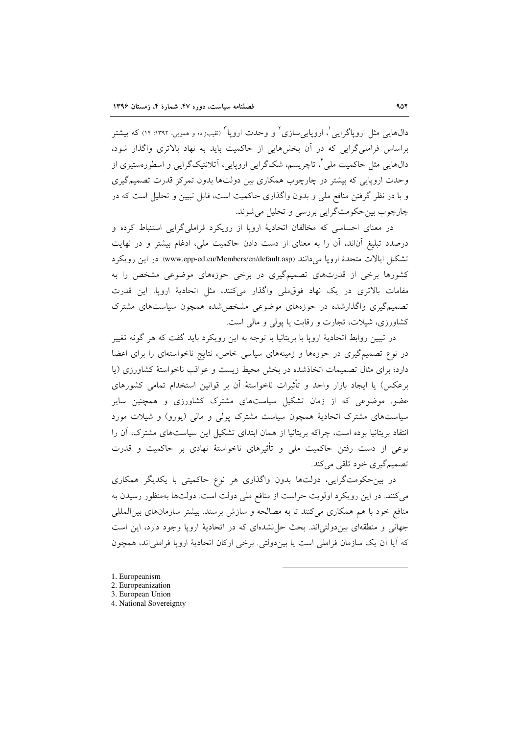دالهایی مثل اروپاگرایی ْ، اروپایی سازی ْ و وحدت اروپا ْ (نقیبزاده و همویی، ۱۳۹۲: ۱۴) که بیشتر براساس فراملی گرایی که در آن بخش هایی از حاکمیت باید به نهاد بالاتری واگذار شود، دالهایی مثل حاکمیت ملی ٔ ، تاچریسم، شکگرایی اروپایی، آتلانتیکگرایی و اسطورهستیزی از وحدت اروپایی که بیشتر در چارچوب همکاری بین دولتها بدون تمرکز قدرت تصمیمگیری و با در نظر گرفتن منافع ملی و بدون واگذاری حاکمیت است، قابل تبیین و تحلیل است که در چارچوب بین حکومتگرایی بررسی و تحلیل می شوند.

در معنای احساسی که مخالفان اتحادیهٔ اروپا از رویکرد فراملیگرایی استنباط کرده و درصدد تبلیغ آناند، آن را به معنای از دست دادن حاکمیت ملی، ادغام بیشتر و در نهایت تشكيل ايالات متحدة ارويا مي دانند (www.epp-ed.eu/Members/en/default.asp). در اين رويكرد کشورها برخی از قدرتهای تصمیمگیری در برخی حوزههای موضوعی مشخص را به مقامات بالاترى در يک نهاد فوق ملى واگذار مى كنند، مثل اتحاديهٔ ارويا. اين قدرت تصمیمگیری واگذارشده در حوزههای موضوعی مشخصشده همچون سیاستهای مشترک کشاورزی، شیلات، تجارت و رقابت یا پولی و مالی است.

در تبیین روابط اتحادیهٔ اروپا با بریتانیا با توجه به این رویکرد باید گفت که هر گونه تغییر در نوع تصمیمگیری در حوزهها و زمینههای سیاسی خاص، نتایج ناخواستهای را برای اعضا دارد؛ برای مثال تصمیمات اتخاذشده در بخش محیط زیست و عواقب ناخواستهٔ کشاورزی (یا برعكس) يا ايجاد بازار واحد و تأثيرات ناخواستهٔ آن بر قوانين استخدام تمامى كشورهاى عضو. موضوعی که از زمان تشکیل سیاستهای مشترک کشاورزی و همچنین سایر سیاستهای مشترک اتحادیهٔ همچون سیاست مشترک پولی و مالی (پورو) و شیلات مورد انتقاد بریتانیا بوده است، چراکه بریتانیا از همان ابتدای تشکیل این سیاستهای مشترک، آن را نوعی از دست رفتن حاکمیت ملی و تأثیرهای ناخواستهٔ نهادی بر حاکمیت و قدرت تصميم گيري خود تلقي مي کند.

در بین حکومتگرایی، دولتها بدون واگذاری هر نوع حاکمیتی با یکدیگر همکاری می کنند. در این رویکرد اولویت حراست از منافع ملی دولت است. دولتها بهمنظور رسیدن به منافع خود با هم همکاری میکنند تا به مصالحه و سازش برسند. بیشتر سازمانهای بین|لمللی جهانی و منطقهای بین دولتی اند. بحث حل نشدهای که در اتحادیهٔ اروپا وجود دارد، این است که آیا آن یک سازمان فراملی است یا بیندولتی. برخی ارکان اتحادیهٔ اروپا فراملیاند، همچون

- 1. Europeanism
- 2. Europeanization
- 3. European Union
- 4. National Sovereignty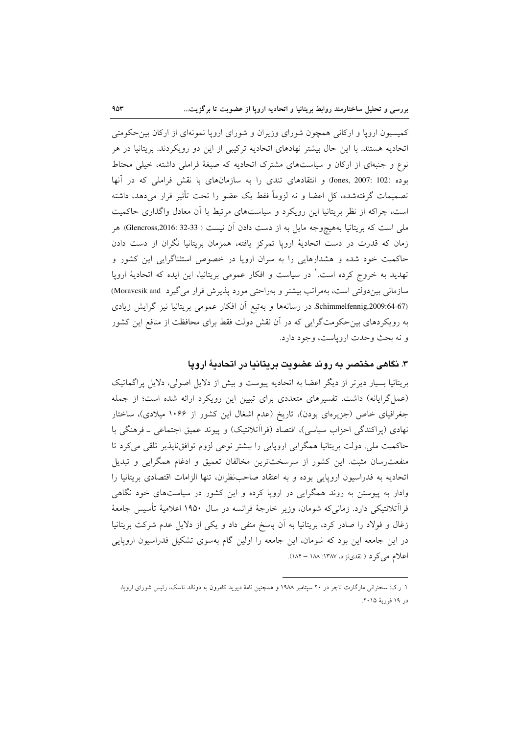کمیسیون اروپا و ارکانی همچون شورای وزیران و شورای اروپا نمونهای از ارکان بین حکومتی اتحادیه هستند. با این حال بیشتر نهادهای اتحادیه ترکیبی از این دو رویکردند. بریتانیا در هر نوع و جنبهای از ارکان و سیاستهای مشترک اتحادیه که صبغهٔ فراملی داشته، خیلی محتاط بوده (Jones, 2007: 102) و انتقادهای تندی را به سازمانهای با نقش فراملی که در آنها تصمیمات گرفتهشده، کل اعضا و نه لزوماً فقط یک عضو را تحت تأثیر قرار می(هد، داشته است، چراکه از نظر بریتانیا این رویکرد و سیاستهای مرتبط با آن معادل واگذاری حاکمیت ملي است كه بريتانيا بههيچوجه مايل به از دست دادن آن نيست ( Glencross,2016: 32-33). هر زمان که قدرت در دست اتحادیهٔ اروپا تمرکز یافته، همزمان بریتانیا نگران از دست دادن حاکمیت خود شده و هشدارهایی را به سران اروپا در خصوص استثناگرایی این کشور و تهدید به خروج کرده است. ٰ در سیاست و افکار عمومی بریتانیا، این ایده که اتحادیهٔ اروپا سازمانی بین دولتی است، بهمراتب بیشتر و بهراحتی مورد پذیرش قرار می گیرد Moravcsik and) Schimmelfennig,2009:64-67. در رسانهها و بهتبع أن افكار عمومي بريتانيا نيز گرايش زيادي به رویکردهای بین حکومتگرایی که در آن نقش دولت فقط برای محافظت از منافع این کشور و نه بحث وحدت اروياست، وجود دارد.

#### ۳. نگاهی مختصر به روند عضویت بریتانیا در اتحادیهٔ ارویا

بریتانیا بسیار دیرتر از دیگر اعضا به اتحادیه پیوست و بیش از دلایل اصولی، دلایل پراگماتیک (عمل گرایانه) داشت. تفسیرهای متعددی برای تبیین این رویکرد ارائه شده است؛ از جمله جغرافیای خاص (جزیرهای بودن)، تاریخ (عدم اشغال این کشور از ۱۰۶۶ میلادی)، ساختار نهادي (پراکندگي احزاب سياسي)، اقتصاد (فراآتلانتيک) و پيوند عميق اجتماعي ــ فرهنگي با حاکمیت ملی. دولت بریتانیا همگرایی اروپایی را بیشتر نوعی لزوم توافق،اپذیر تلقی میکرد تا منفعت٫سان مثبت. این کشور از سرسختترین مخالفان تعمیق و ادغام همگرایی و تبدیل اتحادیه به فدراسیون اروپایی بوده و به اعتقاد صاحب نظران، تنها الزامات اقتصادی بریتانیا را وادار به پیوستن به روند همگرایی در اروپا کرده و این کشور در سیاستهای خود نگاهی فرااًتلانتيكي دارد. زماني٤د شومان، وزير خارجهٔ فرانسه در سال ١٩۵٠ اعلاميهٔ تأسيس جامعهٔ زغال و فولاد را صادر كرد، بريتانيا به آن پاسخ منفى داد و يكي از دلايل عدم شركت بريتانيا در این جامعه این بود که شومان، این جامعه را اولین گام بهسوی تشکیل فدراسیون اروپایی اعلام میکرد ( نقدینژاد، ۱۳۸۷: ۱۸۸ – ۱۸۴).

۱. ر.ک: سخنرانی مارگارت تاچر در ۲۰ سپتامبر ۱۹۸۸ و همچنین نامهٔ دیوید کامرون به دونالد تاسک، رئیس شورای اروپا، در ۱۹ فوريهٔ ۲۰۱۵.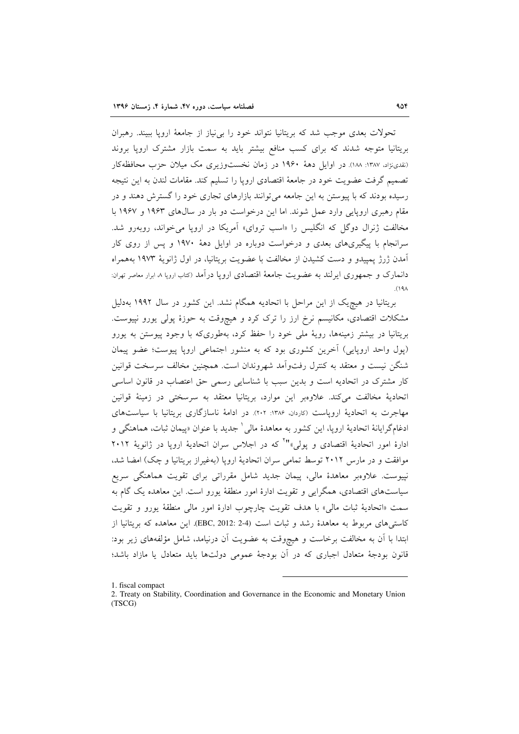تحولات بعدی موجب شد که بریتانیا نتواند خود را بی نیاز از جامعهٔ اروپا ببیند. رهبران بریتانیا متوجه شدند که برای کسب منافع بیشتر باید به سمت بازار مشترک ارویا بروند (نقدینژاد، ۱۳۸۷: ۱۸۸). در اوایل دههٔ ۱۹۶۰ در زمان نخستوزیری مک میلان حزب محافظهکار تصمیم گرفت عضویت خود در جامعهٔ اقتصادی اروپا را تسلیم کند. مقامات لندن به این نتیجه رسیده بودند که با پیوستن به این جامعه می توانند بازارهای تجاری خود را گسترش دهند و در مقام رهبری اروپایی وارد عمل شوند. اما این درخواست دو بار در سالهای ۱۹۶۳ و ۱۹۶۷ با مخالفت ژنرال دوگل که انگلیس را «اسب تروای» آمریکا در اروپا می خواند، روبهرو شد. سرانجام با پیگیری،های بعدی و درخواست دوباره در اوایل دههٔ ۱۹۷۰ و پس از روی کار آمدن ژرژ پمپیدو و دست کشیدن از مخالفت با عضویت بریتانیا، در اول ژانویهٔ ۱۹۷۳ بههمراه دانمارک و جمهوری ایرلند به عضویت جامعهٔ اقتصادی اروپا در آمد (کتاب اروپا ۸ ابرار معاصر تهران:  $(19)$ 

بریتانیا در هیچ یک از این مراحل با اتحادیه همگام نشد. این کشور در سال ۱۹۹۲ بهدلیل مشکلات اقتصادی، مکانیسم نرخ ارز را ترک کرد و هیچوقت به حوزهٔ پولی یورو نپیوست. بریتانیا در بیشتر زمینهها، رویهٔ ملی خود را حفظ کرد، بهطوریکه با وجود پیوستن به یورو (یول واحد اروپایی) آخرین کشوری بود که به منشور اجتماعی اروپا پیوست؛ عضو پیمان شنگن نیست و معتقد به کنترل رفتواًمد شهروندان است. همچنین مخالف سرسخت قوانین کار مشترک در اتحادیه است و بدین سبب با شناسایی رسمی حق اعتصاب در قانون اساسی اتحادیهٔ مخالفت میکند. علاوه بر این موارد، بریتانیا معتقد به سرسختی در زمینهٔ قوانین مهاجرت به اتحادیهٔ اروپاست (کاردان، ۱۳۸۶: ۲۰۲). در ادامهٔ ناسازگاری بریتانیا با سیاستهای ادغامگرایانهٔ اتحادیهٔ اروپا، این کشور به معاهدهٔ مالی <sup>۱</sup> جدید با عنوان «پیمان ثبات، هماهنگی و ادارهٔ امور اتحادیهٔ اقتصادی و یولی،"<sup>۲</sup> که در اجلاس سران اتحادیهٔ ارویا در ژانویهٔ ۲۰۱۲ موافقت و در مارس ۲۰۱۲ توسط تمامی سران اتحادیهٔ اروپا (بهغیراز بریتانیا و چک) امضا شد، نیپوست. علاوهبر معاهدهٔ مالی، پیمان جدید شامل مقرراتی برای تقویت هماهنگی سریع سیاستهای اقتصادی، همگرایی و تقویت ادارهٔ امور منطقهٔ یورو است. این معاهده یک گام به سمت «اتحاديهٔ ثبات مالي» با هدف تقويت چارچوب ادارهٔ امور مالي منطقهٔ يورو و تقويت کاستم های مربوط به معاهدهٔ رشد و ثبات است (EBC, 2012: 2-4). این معاهده که بریتانیا از ابتدا با آن به مخالفت برخاست و هیچوقت به عضویت آن درنیامد، شامل مؤلفههای زیر بود: قانون بودجهٔ متعادل اجباری که در آن بودجهٔ عمومی دولتها باید متعادل یا مازاد باشد؛

1. fiscal compact

<sup>2.</sup> Treaty on Stability, Coordination and Governance in the Economic and Monetary Union  $(TSCG)$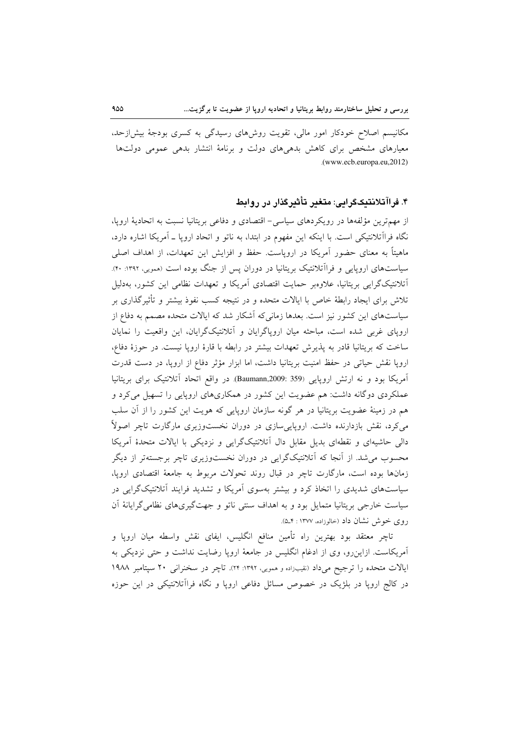مکانیسم اصلاح خودکار امور مالی، تقویت روشهای رسیدگی به کسری بودجهٔ بیش|زحد، معیارهای مشخص برای کاهش بدهیهای دولت و برنامهٔ انتشار بدهی عمومی دولتها .(www.ecb.europa.eu,2012)

## ۴. فراآتلانتیکگرایی: متغیر تأثیرگذار در روابط

از مهم ترین مؤلفهها در رویکردهای سیاسی- اقتصادی و دفاعی بریتانیا نسبت به اتحادیهٔ اروپا، نگاه فراآتلانتیکی است. با اینکه این مفهوم در ابتدا، به ناتو و اتحاد اروپا ـ آمریکا اشاره دارد، ماهیتاً به معنای حضور آمریکا در اروپاست. حفظ و افزایش این تعهدات، از اهداف اصلی سیاستهای اروپایی و فراآتلانتیک بریتانیا در دوران پس از جنگ بوده است (ممویی، ۱۳۹۲: ۴۰). اّتلانتیکگرایی بریتانیا، علاوهبر حمایت اقتصادی آمریکا و تعهدات نظامی این کشور، بهدلیل تلاش برای ایجاد رابطهٔ خاص با ایالات متحده و در نتیجه کسب نفوذ بیشتر و تأثیر گذاری بر سیاستهای این کشور نیز است. بعدها زمانیکه آشکار شد که ایالات متحده مصمم به دفاع از اروپای غربی شده است، مباحثه میان اروپاگرایان و آتلانتیکگرایان، این واقعیت را نمایان ساخت که بریتانیا قادر به پذیرش تعهدات بیشتر در رابطه با قارهٔ اروپا نیست. در حوزهٔ دفاع، اروپا نقش حیاتی در حفظ امنیت بریتانیا داشت، اما ابزار مؤثر دفاع از اروپا، در دست قدرت آمریکا بود و نه ارتش اروپایی (359 :Baumann,2009) در واقع اتحاد آتلانتیک برای بریتانیا عملکردی دوگانه داشت: هم عضویت این کشور در همکاریهای اروپایی را تسهیل میکرد و هم در زمینهٔ عضویت بریتانیا در هر گونه سازمان اروپایی که هویت این کشور را از آن سلب میکرد، نقش بازدارنده داشت. اروپاییسازی در دوران نخستوزیری مارگارت تاچر اصولاً دالی حاشیهای و نقطهای بدیل مقابل دال آتلانتیکگرایی و نزدیکی با ایالات متحدهٔ آمریکا محسوب می شد. از آنجا که آتلانتیکگرایی در دوران نخستوزیری تاچر برجستهتر از دیگر زمانها بوده است، مارگارت تاچر در قبال روند تحولات مربوط به جامعهٔ اقتصادی ارویا، سیاستهای شدیدی را اتخاذ کرد و بیشتر بهسوی آمریکا و تشدید فرایند آتلانتیکگرایی در سیاست خارجی بریتانیا متمایل بود و به اهداف سنتی ناتو و جهتگیریهای نظامی گرایانهٔ آن روی خوش نشان داد (خالوزاده، ۱۳۷۷ : ۵\_۴).

تاچر معتقد بود بهترین راه تأمین منافع انگلیس، ایفای نقش واسطه میان اروپا و آمریکاست. ازاین٫و، وی از ادغام انگلیس در جامعهٔ اروپا رضایت نداشت و حتی نزدیکی به ايالات متحده را ترجيح مي داد (نقيبزاده و همويي، ١٣٩٢: ٢۴). تاچر در سخنراني ٢٠ سيتامبر ١٩٨٨ در کالج اروپا در بلژیک در خصوص مسائل دفاعی اروپا و نگاه فراآتلانتیکی در این حوزه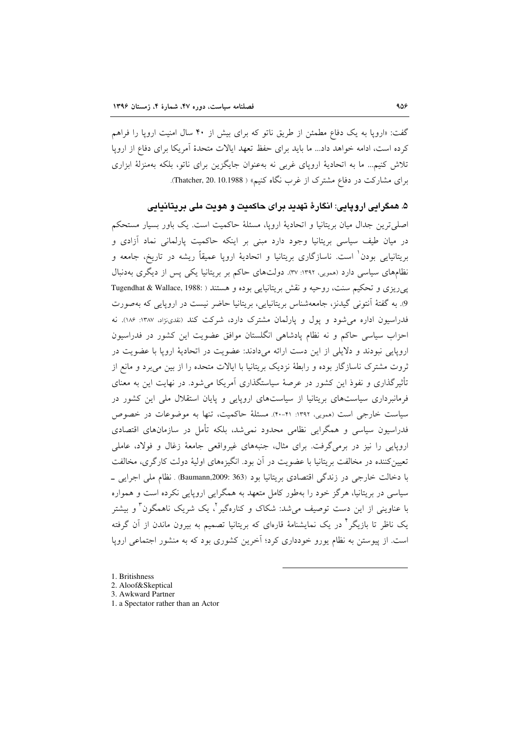گفت: «اروپا به یک دفاع مطمئن از طریق ناتو که برای بیش از ۴۰ سال امنیت اروپا را فراهم کرده است، ادامه خواهد داد... ما باید برای حفظ تعهد ایالات متحدهٔ آمریکا برای دفاع از اروپا تلاش کنیم... ما به اتحادیهٔ اروپای غربی نه بهعنوان جایگزین برای ناتو، بلکه بهمنزلهٔ ابزاری برای مشارکت در دفاع مشترک از غرب نگاه کنیم» ( Thatcher, 20. 10.1988).

۵. همگرايي اروپايي: انگارهٔ تهديد براي حاکميت و هويت ملي بريتانيايي

اصلي ترين جدال ميان بريتانيا و اتحاديهٔ اروپا، مسئلهٔ حاكميت است. يک باور بسيار مستحکم در میان طیف سیاسی بریتانیا وجود دارد مبنی بر اینکه حاکمیت پارلمانی نماد آزادی و بریتانیایی بودن<sup>۱</sup> است. ناسازگاری بریتانیا و اتحادیهٔ ارویا عمیقاً ریشه در تاریخ، جامعه و نظامهای سیاسی دارد (ممویی، ۱۳۹۲: ۳۷). دولتهای حاکم بر بریتانیا یکی پس از دیگری بهدنبال پیرریزی و تحکیم سنت، روحیه و نقش بریتانیایی بوده و هستند ( :Tugendhat & Wallace, 1988 9. به گفتهٔ آنتونی گیدنز، جامعهشناس بریتانیایی، بریتانیا حاضر نیست در اروپایی که بهصورت فدراسیون اداره می شود و یول و یارلمان مشترک دارد، شرکت کند (نقدی:﴿ان ١٣٨٧: ١٨۶). نه احزاب سیاسی حاکم و نه نظام پادشاهی انگلستان موافق عضویت این کشور در فدراسیون اروپایی نبودند و دلایلی از این دست ارائه میدادند: عضویت در اتحادیهٔ اروپا با عضویت در ثروت مشترک ناسازگار بوده و رابطهٔ نزدیک بریتانیا با ایالات متحده را از بین می برد و مانع از تأثیرگذاری و نفوذ این کشور در عرصهٔ سیاستگذاری آمریکا می شود. در نهایت این به معنای فرمانبرداری سیاستهای بریتانیا از سیاستهای اروپایی و پایان استقلال ملی این کشور در سیاست خارجی است (همویی، ۱۳۹۲: ۴۱-۴۰). مسئلهٔ حاکمیت، تنها به موضوعات در خصوص فدراسیون سیاسی و همگرایی نظامی محدود نمیشد، بلکه تأمل در سازمانهای اقتصادی اروپایی را نیز در برمی گرفت. برای مثال، جنبههای غیرواقعی جامعهٔ زغال و فولاد، عاملی تعیین کننده در مخالفت بریتانیا با عضویت در آن بود. انگیزههای اولیهٔ دولت کارگری، مخالفت با دخالت خارجی در زندگی اقتصادی بریتانیا بود (363 :Baumann,2009) . نظام ملی اجرایی -سیاسی در بریتانیا، هرگز خود را بهطور کامل متعهد به همگرایی اروپایی نکرده است و همواره با عناوینی از این دست توصیف می شد: شکاک و کنارهگیر <sup>۲</sup>، یک شریک ناهمگون ؓ و بیشتر یک ناظر تا بازیگر ٔ در یک نمایشنامهٔ قارمای که بریتانیا تصمیم به بیرون ماندن از آن گرفته است. از پیوستن به نظام پورو خودداری کرد؛ آخرین کشوری بود که به منشور اجتماعی اروپا

- 1. Britishness
- 2. Aloof&Skeptical
- 3. Awkward Partner
- 1. a Spectator rather than an Actor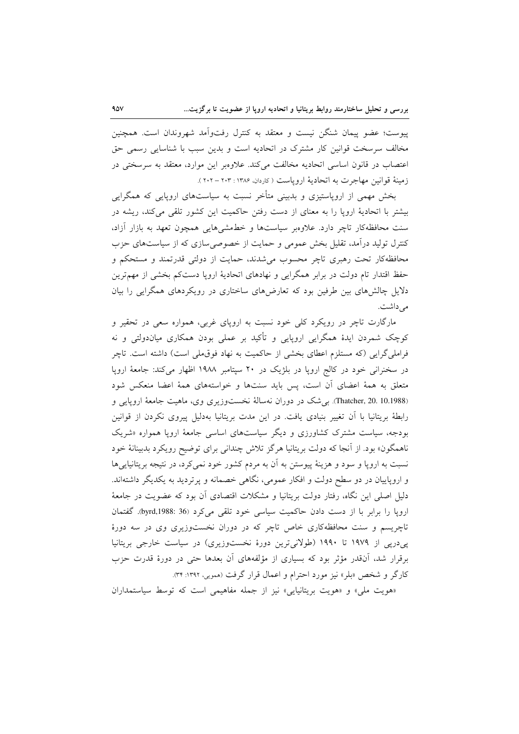پیوست؛ عضو پیمان شنگن نیست و معتقد به کنترل رفتواّمد شهروندان است. همچنین مخالف سرسخت قوانین کار مشترک در اتحادیه است و بدین سبب با شناسایی رسمی حق اعتصاب در قانون اساسی اتحادیه مخالفت میکند. علاوهبر این موارد، معتقد به سرسختی در زمينهٔ قوانين مهاجرت به اتحاديهٔ اروياست (كاردان، ۱۳۸۶: ۲۰۲ – ۲۰۲).

بخش مهمی از اروپاستیزی و بدبینی متأخر نسبت به سیاستهای اروپایی که همگرایی بیشتر با اتحادیهٔ اروپا را به معنای از دست رفتن حاکمیت این کشور تلقی میکند، ریشه در سنت محافظهکار تاچر دارد. علاوهبر سیاستها و خطمشیهایی همچون تعهد به بازار آزاد، کنترل تولید درآمد، تقلیل بخش عمومی و حمایت از خصوصی سازی که از سیاستهای حزب محافظهکار تحت رهبری تاچر محسوب می شدند، حمایت از دولتی قدرتمند و مستحکم و حفظ اقتدار تام دولت در برابر همگرایی و نهادهای اتحادیهٔ اروپا دستکم بخشی از مهمترین دلایل چالش های بین طرفین بود که تعارضهای ساختاری در رویکردهای همگرایی را بیان می داشت.

مارگارت تاچر در رویکرد کلی خود نسبت به اروپای غربی، همواره سعی در تحقیر و کوچک شمردن ایدهٔ همگرایی اروپایی و تأکید بر عملی بودن همکاری میاندولتی و نه فراملی گرایی (که مستلزم اعطای بخشی از حاکمیت به نهاد فوق ملی است) داشته است. تاچر در سخنرانی خود در کالج اروپا در بلژیک در ۲۰ سپتامبر ۱۹۸۸ اظهار میکند: جامعهٔ اروپا متعلق به همهٔ اعضای أن است، پس باید سنتها و خواستههای همهٔ اعضا منعکس شود (Thatcher, 20. 10.1988). بی شک در دوران نهسالهٔ نخستوزیری وی، ماهیت جامعهٔ اروپایی و رابطهٔ بریتانیا با آن تغییر بنیادی یافت. در این مدت بریتانیا بهدلیل پیروی نکردن از قوانین بودجه، سیاست مشترک کشاورزی و دیگر سیاستهای اساسی جامعهٔ اروپا همواره «شریک ناهمگون» بود. از آنجا که دولت بریتانیا هرگز تلاش چندانی برای توضیح رویکرد بدبینانهٔ خود نسبت به اروپا و سود و هزینهٔ پیوستن به آن به مردم کشور خود نمیکرد، در نتیجه بریتانیاییها و اروپاییان در دو سطح دولت و افکار عمومی، نگاهی خصمانه و پرتردید به یکدیگر داشتهاند. دلیل اصلی این نگاه، رفتار دولت بریتانیا و مشکلات اقتصادی آن بود که عضویت در جامعهٔ ارویا را برابر با از دست دادن حاکمیت سیاسی خود تلقی می کرد (byrd,1988: 36. گفتمان تاچریسم و سنت محافظهکاری خاص تاچر که در دوران نخستوزیری وی در سه دورهٔ پی درپی از ۱۹۷۹ تا ۱۹۹۰ (طولانی ترین دورهٔ نخست وزیری) در سیاست خارجی بریتانیا برقرار شد، اَنقدر مؤثر بود که بسیاری از مؤلفههای اَن بعدها حتی در دورهٔ قدرت حزب کارگر و شخص «بلر» نیز مورد احترام و اعمال قرار گرفت (ممویی، ۱۳۹۲: ۳۴).

«هویت ملی» و «هویت بریتانیایی» نیز از جمله مفاهیمی است که توسط سیاستمداران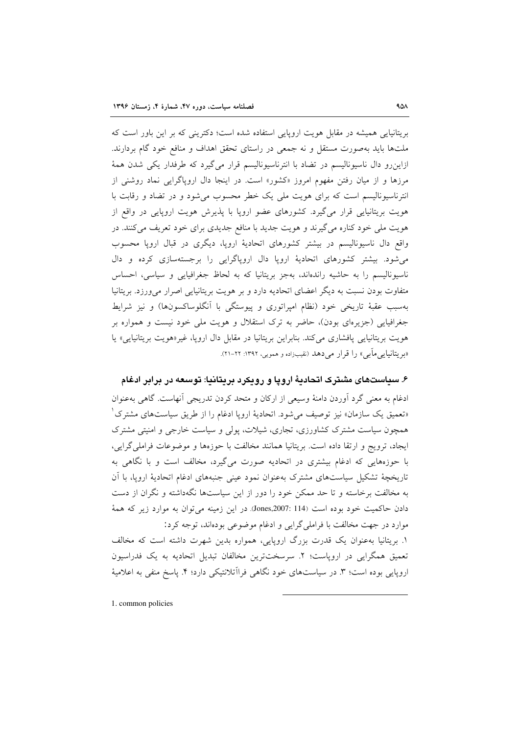بریتانیایی همیشه در مقابل هویت اروپایی استفاده شده است؛ دکترینی که بر این باور است که ملتها باید بهصورت مستقل و نه جمعی در راستای تحقق اهداف و منافع خود گام بردارند. ازاینرو دال ناسیونالیسم در تضاد با انترناسیونالیسم قرار می گیرد که طرفدار یکی شدن همهٔ مرزها و از میان رفتن مفهوم امروز «کشور» است. در اینجا دال اروپاگرایی نماد روشنی از انترناسیونالیسم است که برای هویت ملی یک خطر محسوب می شود و در تضاد و رقابت با هویت بریتانیایی قرار می گیرد. کشورهای عضو اروپا با پذیرش هویت اروپایی در واقع از هویت ملی خود کناره می گیرند و هویت جدید با منافع جدیدی برای خود تعریف می کنند. در واقع دال ناسیونالیسم در بیشتر کشورهای اتحادیهٔ اروپا، دیگری در قبال اروپا محسوب می شود. بیشتر کشورهای اتحادیهٔ اروپا دال اروپاگرایی را برجستهسازی کرده و دال ناسیونالیسم را به حاشیه راندهاند، بهجز بریتانیا که به لحاظ جغرافیایی و سیاسی، احساس متفاوت بودن نسبت به دیگر اعضای اتحادیه دارد و بر هویت بریتانیایی اصرار می ورزد. بریتانیا بهسبب عقبهٔ تاریخی خود (نظام امپراتوری و پیوستگی با آنگلوساکسونها) و نیز شرایط جغرافیایی (جزیرهای بودن)، حاضر به ترک استقلال و هویت ملی خود نیست و همواره بر هویت بریتانیایی پافشاری می کند. بنابراین بریتانیا در مقابل دال اروپا، غیر«هویت بریتانیایی» یا «بریتانیایی ماًبی» را قرار می دهد (نقیبزاده و همویی، ۱۳۹۲: ۲۲–۲۱).

۶. سیاستهای مشترک اتحادیهٔ اروپا و رویکرد بریتانیا: توسعه در برابر ادغام ادغام به معنی گرد آوردن دامنهٔ وسیعی از ارکان و متحد کردن تدریجی آنهاست. گاهی بهعنوان «تعمیق یک سازمان» نیز توصیف میشود. اتحادیهٔ اروپا ادغام را از طریق سیاستهای مشترک ٰ همچون سیاست مشترک کشاورزی، تجاری، شیلات، پولی و سیاست خارجی و امنیتی مشترک ايجاد، ترويج و ارتقا داده است. بريتانيا همانند مخالفت با حوزهها و موضوعات فراملي گرايي، با حوزههایی که ادغام بیشتری در اتحادیه صورت میگیرد، مخالف است و با نگاهی به تاریخچهٔ تشکیل سیاستهای مشترک بهعنوان نمود عینی جنبههای ادغام اتحادیهٔ اروپا، با آن به مخالفت برخاسته و تا حد ممکن خود را دور از این سیاستها نگهداشته و نگران از دست دادن حاكميت خود بوده است (Jones,2007: 114). در اين زمينه مي توان به موارد زير كه همهٔ موارد در جهت مخالفت با فراملي گرايي و ادغام موضوعي بودهاند، توجه كرد: ۱. بریتانیا بهعنوان یک قدرت بزرگ اروپایی، همواره بدین شهرت داشته است که مخالف تعمیق همگرایی در اروپاست؛ ۲. سرسختترین مخالفان تبدیل اتحادیه به یک فدراسیون

اروپایی بوده است؛ ۳. در سیاستهای خود نگاهی فراآتلانتیکی دارد؛ ۴. پاسخ منفی به اعلامیهٔ

1. common policies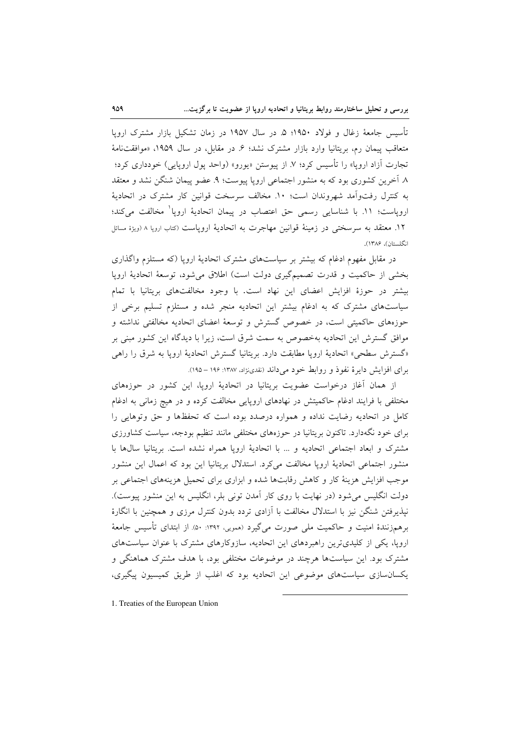تأسیس جامعهٔ زغال و فولاد ۱۹۵۰؛ ۵. در سال ۱۹۵۷ در زمان تشکیل بازار مشترک اروپا متعاقب پیمان رم، بریتانیا وارد بازار مشترک نشد؛ ۶ـ در مقابل، در سال ۱۹۵۹، «موافقتنامهٔ تجارت آزاد اروپا» را تأسیس کرد؛ ۷ـ از پیوستن «یورو» (واحد پول اروپایی) خودداری کرد؛ ٨ آخرین کشوری بود که به منشور اجتماعی اروپا پیوست؛ ٩. عضو پیمان شنگن نشد و معتقد به كنترل رفتواَّمد شهروندان است؛ ١٠. مخالف سرسخت قوانين كار مشترك در اتحادية اروپاست؛ ١١. با شناسايي رسمي حق اعتصاب در پيمان اتحاديهٔ اروپا<sup>\</sup> مخالفت ميكند؛ ١٢. معتقد به سرسختي در زمينهٔ قوانين مهاجرت به اتحاديهٔ اروپاست (کتاب اروپا ٨ (ويژهٔ مسائل انگلستان)، ۱۳۸۶).

در مقابل مفهوم ادغام که بیشتر بر سیاستهای مشترک اتحادیهٔ اروپا (که مستلزم واگذاری بخشي از حاكميت و قدرت تصميم گيري دولت است) اطلاق مي شود، توسعهٔ اتحاديهٔ ارويا بیشتر در حوزهٔ افزایش اعضای این نهاد است. با وجود مخالفتهای بریتانیا با تمام سیاستهای مشترک که به ادغام بیشتر این اتحادیه منجر شده و مستلزم تسلیم برخی از حوزههای حاکمیتی است، در خصوص گسترش و توسعهٔ اعضای اتحادیه مخالفتی نداشته و موافق گسترش این اتحادیه بهخصوص به سمت شرق است، زیرا با دیدگاه این کشور مبنی بر «گسترش سطحی» اتحادیهٔ اروپا مطابقت دارد. بریتانیا گسترش اتحادیهٔ اروپا به شرق را راهی برای افزایش دایرهٔ نفوذ و روابط خود می داند (نقدینژاد، ۱۳۸۷: ۱۹۶ – ۱۹۵).

از همان آغاز درخواست عضویت بریتانیا در اتحادیهٔ اروپا، این کشور در حوزههای مختلفی با فرایند ادغام حاکمیتش در نهادهای اروپایی مخالفت کرده و در هیچ زمانی به ادغام کامل در اتحادیه رضایت نداده و همواره درصدد بوده است که تحفظها و حق وتوهایی را برای خود نگهدارد. تاکنون بریتانیا در حوزههای مختلفی مانند تنظیم بودجه، سیاست کشاورزی مشترک و ابعاد اجتماعی اتحادیه و ... با اتحادیهٔ اروپا همراه نشده است. بریتانیا سالها با منشور اجتماعی اتحادیهٔ اروپا مخالفت میکرد. استدلال بریتانیا این بود که اعمال این منشور موجب افزایش هزینهٔ کار و کاهش رقابتها شده و ابزاری برای تحمیل هزینههای اجتماعی بر دولت انگلیس می شود (در نهایت با روی کار آمدن تونی بلر، انگلیس به این منشور پیوست). نیذیرفتن شنگن نیز با استدلال مخالفت با آزادی تردد بدون کنترل مرزی و همچنین با انگارهٔ برهمزنندهٔ امنیت و حاکمیت ملی صورت میگیرد (همویی، ۱۳۹۲: ۵۰). از ابتدای تأسیس جامعهٔ اروپا، یکی از کلیدیترین راهبردهای این اتحادیه، سازوکارهای مشترک با عنوان سیاستهای مشترک بود. این سیاستها هرچند در موضوعات مختلفی بود، با هدف مشترک هماهنگی و یکسانسازی سیاستهای موضوعی این اتحادیه بود که اغلب از طریق کمیسیون پیگیری،

1. Treaties of the European Union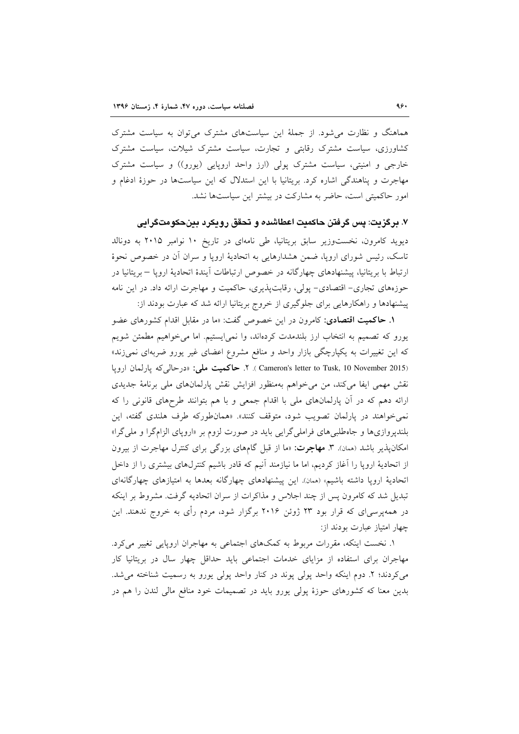هماهنگ و نظارت می شود. از جملهٔ این سیاستهای مشترک می توان به سیاست مشترک کشاورزی، سیاست مشترک رقابتی و تجارت، سیاست مشترک شیلات، سیاست مشترک خارجی و امنیتی، سیاست مشترک پولی (ارز واحد اروپایی (یورو)) و سیاست مشترک مهاجرت و پناهندگی اشاره کرد. بریتانیا با این استدلال که این سیاستها در حوزهٔ ادغام و امور حاکمیتی است، حاضر به مشارکت در بیشتر این سیاستها نشد.

۷. برگزیت: یس گرفتن حاکمیت اعطاشده و تحقق رویکرد بینحکومتگرایی دیوید کامرون، نخستوزیر سابق بریتانیا، طی نامهای در تاریخ ۱۰ نوامبر ۲۰۱۵ به دونالد تاسک، رئیس شورای اروپا، ضمن هشدارهایی به اتحادیهٔ اروپا و سران آن در خصوص نحوهٔ ارتباط با بریتانیا، پیشنهادهای چهارگانه در خصوص ارتباطات آیندهٔ اتحادیهٔ اروپا – بریتانیا در

حوزههای تجاری- اقتصادی- پولی، رقابتپذیری، حاکمیت و مهاجرت ارائه داد. در این نامه

پیشنهادها و راهکارهایی برای جلوگیری از خروج بریتانیا ارائه شد که عبارت بودند از: **۱. حاکمیت اقتصادی**: کامرون در این خصوص گفت: «ما در مقابل اقدام کشورهای عضو یورو که تصمیم به انتخاب ارز بلندمدت کردهاند، وا نمی ایستیم. اما می خواهیم مطمئن شویم که این تغییرات به یکپارچگی بازار واحد و منافع مشروع اعضای غیر یورو ضربهای نمیزند» Cameron's letter to Tusk, 10 November 2015). ٢. حاكميت ملي: «درحالي كه يارلمان ارويا نقش مهمی ایفا میکند، من میخواهم بهمنظور افزایش نقش پارلمانهای ملی برنامهٔ جدیدی ارائه دهم که در آن پارلمانهای ملی با اقدام جمعی و با هم بتوانند طرحهای قانونی را که نمی خواهند در پارلمان تصویب شود، متوقف کنند». «همانطورکه طرف هلندی گفته، این بلندپروازیها و جاهطلبیهای فراملیگرایی باید در صورت لزوم بر «اروپای الزامگرا و ملی گرا» امکان یذیر باشد (همان). **۳. مهاجرت:** «ما از قبل گامهای بزرگی برای کنترل مهاجرت از بیرون از اتحادیهٔ اروپا را آغاز کردیم، اما ما نیازمند آنیم که قادر باشیم کنترلهای بیشتری را از داخل اتحادیهٔ اروپا داشته باشیم» (ممان). این پیشنهادهای چهارگانه بعدها به امتیازهای چهارگانهای تبدیل شد که کامرون پس از چند اجلاس و مذاکرات از سران اتحادیه گرفت. مشروط بر اینکه در همهپرسیای که قرار بود ۲۳ ژوئن ۲۰۱۶ برگزار شود، مردم رأی به خروج ندهند. این چهار امتیاز عبارت بودند از:

۱. نخست اینکه، مقررات مربوط به کمکهای اجتماعی به مهاجران اروپایی تغییر میکرد. مهاجران برای استفاده از مزایای خدمات اجتماعی باید حداقل چهار سال در بریتانیا کار می کردند؛ ۲. دوم اینکه واحد پولی پوند در کنار واحد پولی یورو به رسمیت شناخته می شد. بدین معنا که کشورهای حوزهٔ یولی یورو باید در تصمیمات خود منافع مالی لندن را هم در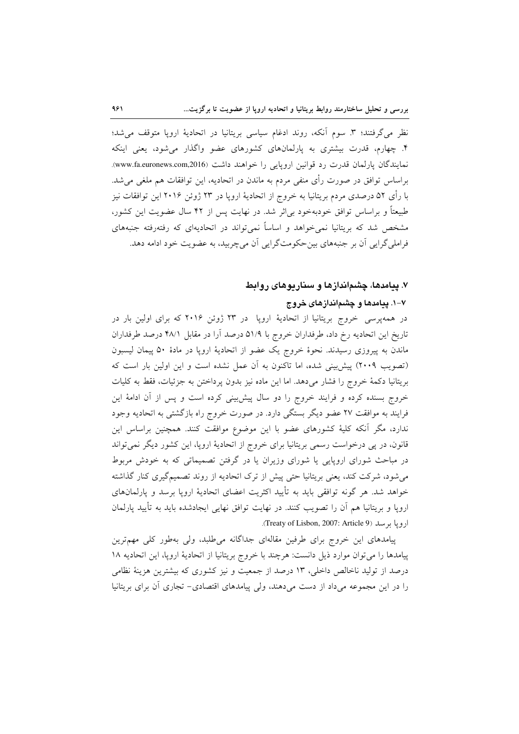نظر می گرفتند؛ ٣. سوم آنکه، روند ادغام سیاسی بریتانیا در اتحادیهٔ اروپا متوقف می شد؛ ۴. چهارم، قدرت بیشتری به یارلمانهای کشورهای عضو واگذار می شود، یعنی اینکه نمايندگان پارلمان قدرت رد قوانين اروپايى را خواهند داشت (www.fa.euronews.com,2016). براساس توافق در صورت رأى منفى مردم به ماندن در اتحاديه، اين توافقات هم ملغى مىشد. با رأى ۵۲ درصدى مردم بريتانيا به خروج از اتحاديهٔ اروپا در ۲۳ ژوئن ۲۰۱۶ اين توافقات نيز طبیعتاً و براساس توافق خودبهخود بی اثر شد. در نهایت پس از ۴۲ سال عضویت این کشور، مشخص شد که بریتانیا نمی خواهد و اساساً نمی تواند در اتحادیهای که رفتهرفته جنبههای فراملي گرايي آن بر جنبههاي بين حكومت گرايي آن مي چربيد، به عضويت خود ادامه دهد.

#### ۷. پیامدها، چشماندازها و سناریوهای روابط

### ۷–۱. پیامدها و چشماندازهای خروج

در همهپرسی خروج بریتانیا از اتحادیهٔ اروپا ً در ۲۳ ژوئن ۲۰۱۶ که برای اولین بار در تاریخ این اتحادیه رخ داد، طرفداران خروج با ۵۱/۹ درصد آرا در مقابل ۴۸/۱ درصد طرفداران ماندن به پیروزی رسیدند. نحوهٔ خروج یک عضو از اتحادیهٔ اروپا در مادهٔ ۵۰ پیمان لیسبون (تصویب ۲۰۰۹) پیش بینی شده، اما تاکنون به آن عمل نشده است و این اولین بار است که بريتانيا دكمهٔ خروج را فشار مى دهد. اما اين ماده نيز بدون پرداختن به جزئيات، فقط به كليات خروج بسنده کرده و فرایند خروج را دو سال پیش بینی کرده است و پس از آن ادامهٔ این فرایند به موافقت ۲۷ عضو دیگر بستگی دارد. در صورت خروج راه بازگشتی به اتحادیه وجود ندارد، مگر آنکه کلیهٔ کشورهای عضو با این موضوع موافقت کنند. همچنین براساس این قانون، در پی درخواست رسمی بریتانیا برای خروج از اتحادیهٔ اروپا، این کشور دیگر نمیتواند در مباحث شورای اروپایی یا شورای وزیران یا در گرفتن تصمیماتی که به خودش مربوط می شود، شرکت کند، یعنی بریتانیا حتی پیش از ترک اتحادیه از روند تصمیمگیری کنار گذاشته خواهد شد. هر گونه توافقی باید به تأیید اکثریت اعضای اتحادیهٔ اروپا برسد و پارلمانهای اروپا و بریتانیا هم آن را تصویب کنند. در نهایت توافق نهایی ایجادشده باید به تأیید پارلمان ارويا برسد (Treaty of Lisbon, 2007: Article 9).

پیامدهای این خروج برای طرفین مقالهای جداگانه می طلبد، ولی بهطور کلی مهمترین پیامدها را می توان موارد ذیل دانست: هرچند با خروج بریتانیا از اتحادیهٔ اروپا، این اتحادیه ۱۸ درصد از تولید ناخالص داخلی، ۱۳ درصد از جمعیت و نیز کشوری که بیشترین هزینهٔ نظامی را در این مجموعه میداد از دست میدهند، ولی پیامدهای اقتصادی- تجاری آن برای بریتانیا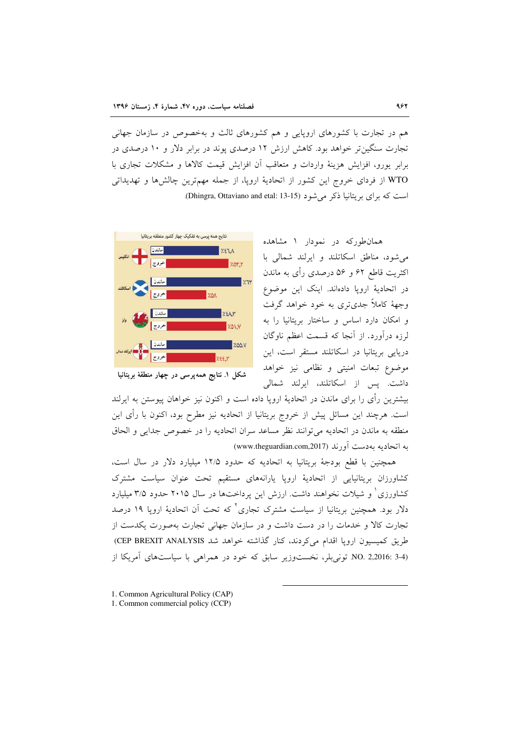هم در تجارت با کشورهای اروپایی و هم کشورهای ثالث و بهخصوص در سازمان جهانی تجارت سنگین تر خواهد بود. کاهش ارزش ۱۲ درصدی یوند در برابر دلار و ۱۰ درصدی در برابر يورو، افزايش هزينهٔ واردات و متعاقب آن افزايش قيمت كالاها و مشكلات تجارى با WTO از فردای خروج این کشور از اتحادیهٔ اروپا، از جمله مهمترین چالشها و تهدیداتی است که برای بریتانیا ذکر می شود (Dhingra, Ottaviano and etal: 13-15).



همانطورکه در نمودار ۱ مشاهده می شود، مناطق اسکاتلند و ایرلند شمالی با اکثریت قاطع ۶۲ و ۵۶ درصدی رأی به ماندن در اتحادیهٔ اروپا دادهاند. اینک این موضوع وجههٔ کاملاً جدیتری به خود خواهد گرفت و امکان دارد اساس و ساختار بریتانیا را به لرزه درآورد. از آنجا که قسمت اعظم ناوگان دریایی بریتانیا در اسکاتلند مستقر است، این موضوع تبعات امنیتی و نظامی نیز خواهد داشت. پس از اسکاتلند، ایرلند شمالی

بیشترین رأی را برای ماندن در اتحادیهٔ اروپا داده است و اکنون نیز خواهان پیوستن به ایرلند است. هرچند این مسائل پیش از خروج بریتانیا از اتحادیه نیز مطرح بود، اکنون با رأی این منطقه به ماندن در اتحادیه میتوانند نظر مساعد سران اتحادیه را در خصوص جدایی و الحاق به اتحادیه بهدست آورند (www.theguardian.com,2017)

همچنین با قطع بودجهٔ بریتانیا به اتحادیه که حدود ۱۲/۵ میلیارد دلار در سال است، کشاورزان بریتانیایی از اتحادیهٔ اروپا پارانههای مستقیم تحت عنوان سیاست مشترک کشاورزی ْ و شیلات نخواهند داشت. ارزش این پرداختها در سال ۲۰۱۵ حدود ۳/۵ میلیارد دلار بود. همچنین بریتانیا از سیاست مشترک تجاری<sup>۲</sup> که تحت آن اتحادیهٔ ارویا ۱۹ درصد تجارت كالا و خدمات را در دست داشت و در سازمان جهانی تجارت بهصورت یكدست از طريق كميسيون ارويا اقدام مي كردند، كنار گذاشته خواهد شد CEP BREXIT ANALYSIS) NO. 2,2016: 3-4) تونی بلر، نخست وزیر سابق که خود در همراهی با سیاستهای آمریکا از

1. Common Agricultural Policy (CAP)

<sup>1.</sup> Common commercial policy (CCP)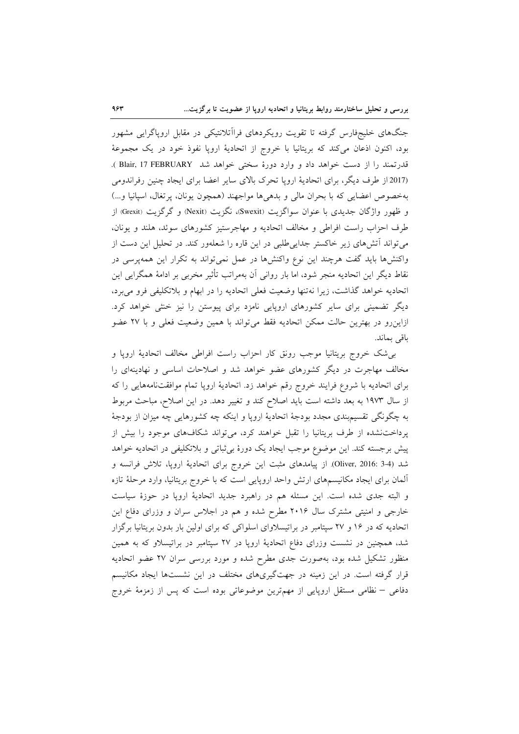جنگهای خلیجفارس گرفته تا تقویت رویکردهای فراآتلانتیکی در مقابل اروپاگرایی مشهور بود، اکنون اذعان میکند که بریتانیا با خروج از اتحادیهٔ اروپا نفوذ خود در یک مجموعهٔ قدرتمند را از دست خواهد داد و وارد دورهٔ سختی خواهد شد Blair, 17 FEBRUARY ). (2017 از طرف دیگر، برای اتحادیهٔ اروپا تحرک بالای سایر اعضا برای ایجاد چنین رفراندومی بهخصوص اعضایی که با بحران مالی و بدهیها مواجهند (همچون یونان، پرتغال، اسپانیا و...) و ظهور واژگان جدیدی با عنوان سواگزیت (Swexit)، نگزیت (Nexit) و گرگزیت (Grexit) از طرف احزاب راست افراطی و مخالف اتحادیه و مهاجرستیز کشورهای سوئد، هلند و یونان، می تواند آتش های زیر خاکستر جدایی طلبی در این قاره را شعلهور کند. در تحلیل این دست از واکنشها باید گفت هرچند این نوع واکنشها در عمل نمی تواند به تکرار این همهپرسی در نقاط دیگر این اتحادیه منجر شود، اما بار روانی آن بهمراتب تأثیر مخربی بر ادامهٔ همگرایی این اتحادیه خواهد گذاشت، زیرا نهتنها وضعیت فعلی اتحادیه را در ابهام و بلاتکلیفی فرو می برد، دیگر تضمینی برای سایر کشورهای اروپایی نامزد برای پیوستن را نیز خنثی خواهد کرد. ازاینرو در بهترین حالت ممکن اتحادیه فقط میتواند با همین وضعیت فعلی و با ۲۷ عضو باقى بماند.

بی شک خروج بریتانیا موجب رونق کار احزاب راست افراطی مخالف اتحادیهٔ اروپا و مخالف مهاجرت در دیگر کشورهای عضو خواهد شد و اصلاحات اساسی و نهادینهای را برای اتحادیه با شروع فرایند خروج رقم خواهد زد. اتحادیهٔ اروپا تمام موافقتنامههایی را که از سال ۱۹۷۳ به بعد داشته است باید اصلاح کند و تغییر دهد. در این اصلاح، مباحث مربوط به چگونگی تقسیمبندی مجدد بودجهٔ اتحادیهٔ اروپا و اینکه چه کشورهایی چه میزان از بودجهٔ پرداختنشده از طرف بریتانیا را تقبل خواهند کرد، میتواند شکافهای موجود را بیش از پیش برجسته کند. این موضوع موجب ایجاد یک دورهٔ بی¢باتی و بلاتکلیفی در اتحادیه خواهد شد (Oliver, 2016: 3-4) از پیامدهای مثبت این خروج برای اتحادیهٔ اروپا، تلاش فرانسه و ألمان برای ایجاد مکانیسمهای ارتش واحد اروپایی است که با خروج بریتانیا، وارد مرحلهٔ تازه و البته جدی شده است. این مسئله هم در راهبرد جدید اتحادیهٔ اروپا در حوزهٔ سیاست خارجی و امنیتی مشترک سال ۲۰۱۶ مطرح شده و هم در اجلاس سران و وزرای دفاع این اتحادیه که در ۱۶ و ۲۷ سپتامبر در براتیسلاوای اسلواکی که برای اولین بار بدون بریتانیا برگزار شد، همچنین در نشست وزرای دفاع اتحادیهٔ اروپا در ۲۷ سپتامبر در براتیسلاو که به همین منظور تشکیل شده بود، بهصورت جدی مطرح شده و مورد بررسی سران ۲۷ عضو اتحادیه قرار گرفته است. در این زمینه در جهتگیریهای مختلف در این نشستها ایجاد مکانیسم دفاعی – نظامی مستقل اروپایی از مهمترین موضوعاتی بوده است که پس از زمزمهٔ خروج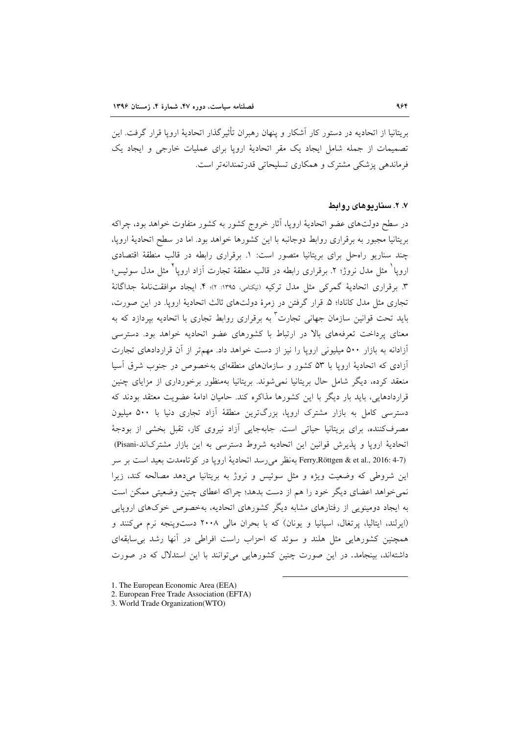بريتانيا از اتحاديه در دستور كار آشكار و پنهان رهبران تأثيرگذار اتحاديهٔ اروپا قرار گرفت. اين تصمیمات از جمله شامل ایجاد یک مقر اتحادیهٔ اروپا برای عملیات خارجی و ایجاد یک فرماندهی پزشکی مشترک و همکاری تسلیحاتی قدرتمندانهتر است.

#### ۷. ۲. سنار بوهای روابط

در سطح دولتهای عضو اتحادیهٔ اروپا، آثار خروج کشور به کشور متفاوت خواهد بود، چراکه بریتانیا مجبور به برقراری روابط دوجانبه با این کشورها خواهد بود. اما در سطح اتحادیهٔ اروپا، چند سناریو راهحل برای بریتانیا متصور است: ١. برقراری رابطه در قالب منطقهٔ اقتصادی اروپا ْ مثل مدل نروژ؛ ۲. برقراری رابطه در قالب منطقهٔ تجارت اَزاد اروپا ْ مثل مدل سوئیس؛ ٣. برقراري اتحادية گمركي مثل مدل تركيه (نيكنامي، ١٣٩٥: ٢)؛ ۴. ايجاد موافقتنامة جداگانة تجاري مثل مدل كانادا؛ ۵. قرار گرفتن در زمرهٔ دولتهاي ثالث اتحاديهٔ ارويا. در اين صورت، باید تحت قوانین سازمان جهان<sub>ی</sub> تجارت<sup>۳</sup> به برقراری روابط تجاری با اتحادیه بپردازد که به معنای پرداخت تعرفههای بالا در ارتباط با کشورهای عضو اتحادیه خواهد بود. دسترسی آزادانه به بازار ۵۰۰ میلیونی اروپا را نیز از دست خواهد داد. مهمتر از آن قراردادهای تجارت آزادی که اتحادیهٔ اروپا با ۵۳ کشور و سازمانهای منطقهای بهخصوص در جنوب شرق آسیا منعقد کرده، دیگر شامل حال بریتانیا نمی شوند. بریتانیا بهمنظور برخورداری از مزایای چنین قراردادهایی، باید بار دیگر با این کشورها مذاکره کند. حامیان ادامهٔ عضویت معتقد بودند که دسترسی کامل به بازار مشترک اروپا، بزرگترین منطقهٔ آزاد تجاری دنیا با ۵۰۰ میلیون مصرفکننده، برای بریتانیا حیاتی است. جابهجایی آزاد نیروی کار، تقبل بخشی از بودجهٔ اتحادیهٔ اروپا و پذیرش قوانین این اتحادیه شروط دسترسی به این بازار مشترکاند-Pisani) (Ferry, Röttgen & et al., 2016: 4-7 بهنظر مي رسد اتحادية ارويا در كوتاهمدت بعيد است بر سر این شروطی که وضعیت ویژه و مثل سوئیس و نروژ به بریتانیا میدهد مصالحه کند، زیرا نمي خواهد اعضاي ديگر خود را هم از دست بدهد؛ چراكه اعطاي چنين وضعيتي ممكن است به ایجاد دومینویی از رفتارهای مشابه دیگر کشورهای اتحادیه، بهخصوص خوکهای اروپایی (ایرلند، ایتالیا، پرتغال، اسپانیا و یونان) که با بحران مالی ۲۰۰۸ دستوپنجه نرم میکنند و همچنین کشورهایی مثل هلند و سوئد که احزاب راست افراطی در آنها رشد بی سابقهای داشتهاند، بینجامد. در این صورت چنین کشورهایی میتوانند با این استدلال که در صورت

<sup>1.</sup> The European Economic Area (EEA)

<sup>2.</sup> European Free Trade Association (EFTA)

<sup>3.</sup> World Trade Organization(WTO)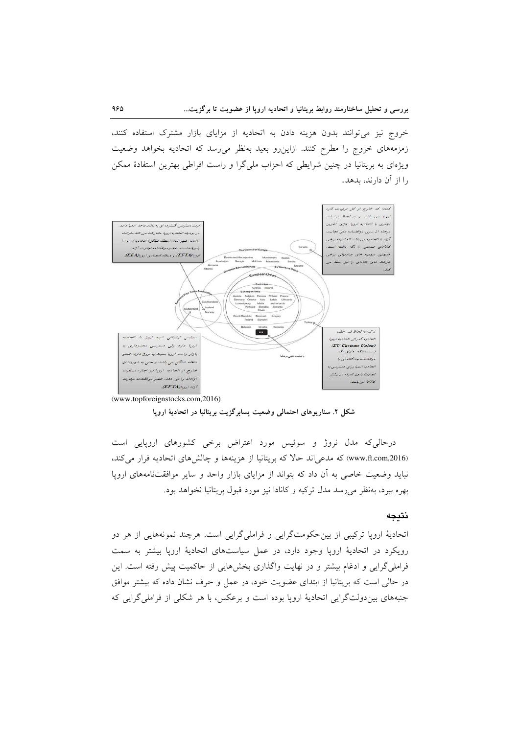خروج نیز می توانند بدون هزینه دادن به اتحادیه از مزایای بازار مشترک استفاده کنند، زمزمههای خروج را مطرح کنند. ازاینررو بعید بهنظر می رسد که اتحادیه بخواهد وضعیت ویژهای به بریتانیا در چنین شرایطی که احزاب ملیگرا و راست افراطی بهترین استفادهٔ ممکن را از آن دارند، بدهد.



(www.topforeignstocks.com,2016)

شکل ۲. سناریوهای احتمالی وضعیت پسابرگزیت بریتانیا در اتحادیهٔ اروپا

درحالی که مدل نروژ و سوئیس مورد اعتراض برخی کشورهای اروپایی است (www.ft.com,2016) که مدعی اند حالا که بریتانیا از هزینهها و چالش های اتحادیه فرار می کند، نباید وضعیت خاصی به آن داد که بتواند از مزایای بازار واحد و سایر موافقتنامههای اروپا بهره ببرد، بهنظر می رسد مدل ترکیه و کانادا نیز مورد قبول بریتانیا نخواهد بود.

#### نتيجه

اتحادیهٔ اروپا ترکیبی از بین حکومتگرایی و فراملیگرایی است. هرچند نمونههایی از هر دو رویکرد در اتحادیهٔ اروپا وجود دارد، در عمل سیاستهای اتحادیهٔ اروپا بیشتر به سمت فراملی گرایی و ادغام بیشتر و در نهایت واگذاری بخشهایی از حاکمیت پیش رفته است. این در حالي است كه بريتانيا از ابتداى عضويت خود، در عمل و حرف نشان داده كه بيشتر موافق جنبههای بین دولتگرایی اتحادیهٔ اروپا بوده است و برعکس، با هر شکلی از فراملی گرایی که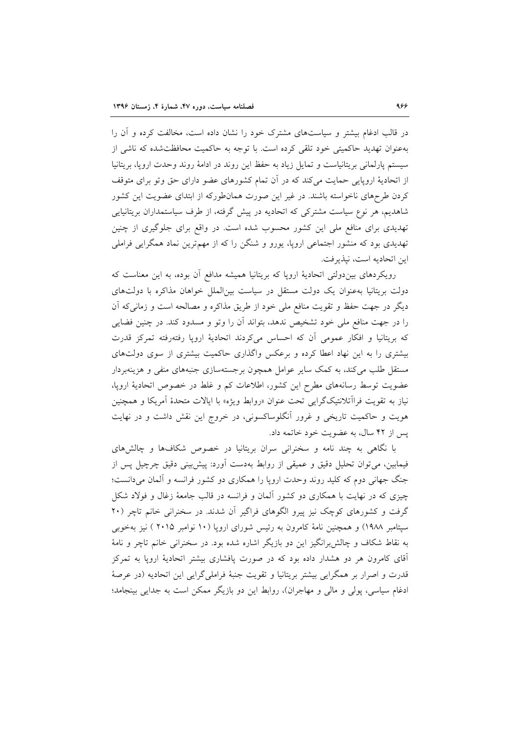در قالب ادغام بیشتر و سیاستهای مشترک خود را نشان داده است، مخالفت کرده و آن را بهعنوان تهدید حاکمیتی خود تلقی کرده است. با توجه به حاکمیت محافظتشده که ناشی از سیستم پارلمانی بریتانیاست و تمایل زیاد به حفظ این روند در ادامهٔ روند وحدت اروپا، بریتانیا از اتحادیهٔ اروپایی حمایت میکند که در آن تمام کشورهای عضو دارای حق وتو برای متوقف کردن طرحهای ناخواسته باشند. در غیر این صورت همانطورکه از ابتدای عضویت این کشور شاهدیم، هر نوع سیاست مشترکی که اتحادیه در پیش گرفته، از طرف سیاستمداران بریتانیایی تهدیدی برای منافع ملی این کشور محسوب شده است. در واقع برای جلوگیری از چنین تهدیدی بود که منشور اجتماعی اروپا، یورو و شنگن را که از مهمترین نماد همگرایی فراملی اين اتحاديه است، نيذيرفت.

رویکردهای بین دولتی اتحادیهٔ اروپا که بریتانیا همیشه مدافع آن بوده، به این معناست که دولت بریتانیا بهعنوان یک دولت مستقل در سیاست بین|لملل خواهان مذاکره با دولتهای دیگر در جهت حفظ و تقویت منافع ملی خود از طریق مذاکره و مصالحه است و زمانبیکه آن را در جهت منافع ملی خود تشخیص ندهد، بتواند آن را وتو و مسدود کند. در چنین فضایی که بریتانیا و افکار عمومی آن که احساس میکردند اتحادیهٔ اروپا رفتهرفته تمرکز قدرت بیشتری را به این نهاد اعطا کرده و برعکس واگذاری حاکمیت بیشتری از سوی دولتهای مستقل طلب می کند، به کمک سایر عوامل همچون برجستهسازی جنبههای منفی و هزینهبردار عضویت توسط رسانههای مطرح این کشور، اطلاعات کم و غلط در خصوص اتحادیهٔ اروپا، نياز به تقويت فراآتلانتيکگرايي تحت عنوان «روابط ويژه» با ايالات متحدهٔ آمريکا و همچنين هویت و حاکمیت تاریخی و غرور آنگلوساکسونی، در خروج این نقش داشت و در نهایت پس از ۴۲ سال، به عضویت خود خاتمه داد.

با نگاهی به چند نامه و سخنرانی سران بریتانیا در خصوص شکافها و چالشهای فیمابین، میتوان تحلیل دقیق و عمیقی از روابط بهدست آورد: پیش بینی دقیق چرچیل پس از جنگ جهانی دوم که کلید روند وحدت اروپا را همکاری دو کشور فرانسه و آلمان میدانست؛ چیزی که در نهایت با همکاری دو کشور آلمان و فرانسه در قالب جامعهٔ زغال و فولاد شکل گرفت و کشورهای کوچک نیز پیرو الگوهای فراگیر آن شدند. در سخنرانی خانم تاچر (۲۰ سپتامبر ۱۹۸۸) و همچنین نامهٔ کامرون به رئیس شورای اروپا (۱۰ نوامبر ۲۰۱۵ ) نیز بهخوبی به نقاط شکاف و چالش برانگیز این دو بازیگر اشاره شده بود. در سخنرانی خانم تاچر و نامهٔ آقای کامرون هر دو هشدار داده بود که در صورت یافشاری بیشتر اتحادیهٔ اروپا به تمرکز قدرت و اصرار بر همگرایی بیشتر بریتانیا و تقویت جنبهٔ فراملی گرایی این اتحادیه (در عرصهٔ ادغام سیاسی، پولی و مالی و مهاجران)، روابط این دو بازیگر ممکن است به جدایی بینجامد؛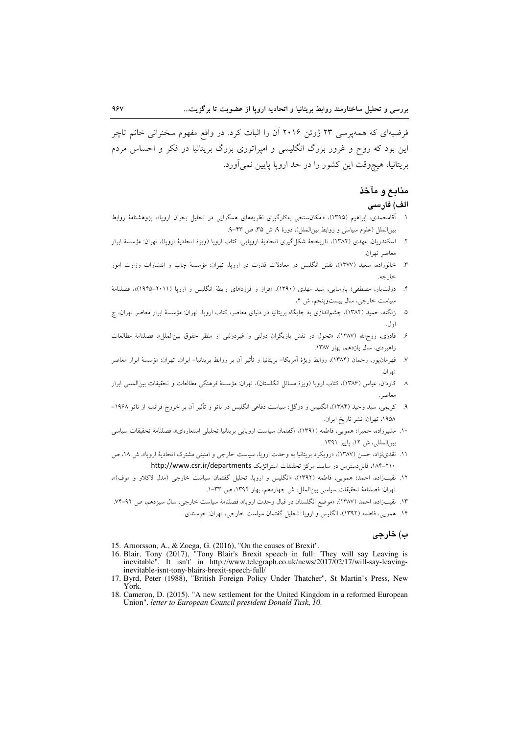فرضیهای که همهپرسی ۲۳ ژوئن ۲۰۱۶ آن را اثبات کرد. در واقع مفهوم سخنرانی خانم تاچر این بود که روح و غرور بزرگ انگلیسی و امپراتوری بزرگ بریتانیا در فکر و احساس مردم بریتانیا، هیچوقت این کشور را در حد ارویا یایین نمی آورد.

## منابع و مآخذ

## الف) فارسى

- ۱. آقامحمدی، ابراهیم (۱۳۹۵)، «امکانسنجی بهکارگیری نظریههای همگرایی در تحلیل بحران اروپا»، یژوهشنامهٔ روابط بين الملل (علوم سياسي و روابط بين الملل)، دورهٔ ۹، ش ۳۵، ص ۴۳-۹.
- ۲. اسکندریان، مهدی (۱۳۸۲)، تاریخچهٔ شکل گیری اتحادیهٔ اروپایی، کتاب اروپا (ویژهٔ اتحادیهٔ اروپا)، تهران: مؤسسهٔ ابرار معاصر تهران.
- ۳. خالوزاده، سعید (۱۳۷۷)، نقش انگلیس در معادلات قدرت در اروپا، تهران: مؤسسهٔ چاپ و انتشارات وزارت امور خا, جه.
- ۴. دولتیار، مصطفی؛ پارسایی، سید مهدی (۱۳۹۰). «فراز و فرودهای رابطهٔ انگلیس و اروپا (۲۰۱۱–۱۹۴۵)»، فصلنامهٔ سياست خارجي، سال بيست وينجم، ش ۴.
- ۵. زنگنه، حمید (۱۳۸۲)، چشماندازی به جایگاه بریتانیا در دنیای معاصر، کتاب ارویا، تهران: مؤسسهٔ ابرار معاصر تهران، چ او ل.
- ۶. قادری، روحالله (۱۳۸۷)، «تحول در نقش بازیگران دولتی و غیردولتی از منظر حقوق بین|لملل»، فصلنامهٔ مطالعات راهبردی، سال یازدهم، بهار ١٣٨٧.
- ٧. قهرمانيور، رحمان (١٣٨۴)، روابط ويژهٔ اَمريكا– بريتانيا و تأثير اَن بر روابط بريتانيا– ايران، تهران: مؤسسهٔ ابرار معاصر تھ ان.
- ٨- كاردان، عباس (١٣٨۶)، كتاب ارويا (ويژة مسائل انگلستان)، تهران: مؤسسة فرهنگي مطالعات و تحقيقات بين|لمللي ابرار معاصر.
- ۹. کریمی، سید وحید (۱۳۸۴)، انگلیس و دوگل: سیاست دفاعی انگلیس در ناتو و تأثیر آن بر خروج فرانسه از ناتو ۱۹۶۸– ١٩۵٨، تهران: نشر تاريخ ايران.
- ۱۰. مشیرزاده، حمیرا؛ همویی، فاطمه (۱۳۹۱)، «گفتمان سیاست اروپایی بریتانیا تحلیلی استعارهای»، فصلنامهٔ تحقیقات سیاسی بين المللي، ش ١٢، ياييز ١٣٩١.
- ١١. نقدی نژاد، حسن (١٣٨٧)، «رویکرد بریتانیا به وحدت اروپا، سیاست خارجی و امنیتی مشترک اتحادیهٔ اروپا»، ش ١٨، ص ٢١٠-١٨۴)، قابل دسترس در سايت مركز تحقيقات استراتزيك http://www.csr.ir/departments
- ۱۲. نقیبزاده، احمد؛ همویی، فاطمه (۱۳۹۲)، «انگلیس و اروپا، تحلیل گفتمان سیاست خارجی (مدل لاکلاو و موف)»، تهران: فصلنامة تحقيقات سياسي بين الملل، ش چهاردهم، بهار ١٣٩٢، ص ٣٣-١.
- ١٣. نقيب(اده، احمد (١٣٨٧)، «موضع انگلستان در قبال وحدت ارويا»، فصلنامهٔ سياست خارجي، سال سيزدهم، ص ٩٢-٧٤.
	- ۱۴. همویی، فاطمه (۱۳۹۲)، انگلیس و اروپا: تحلیل گفتمان سیاست خارجی، تهران: خرسندی.

#### ب) خارجي

- 15. Arnorsson, A., & Zoega, G. (2016), "On the causes of Brexit".
- 16. Blair, Tony (2017), "Tony Blair's Brexit speech in full: "They will say Leaving is<br>inevitable". It isn't' in http://www.telegraph.co.uk/news/2017/02/17/will-say-leavinginevitable-isnt-tony-blairs-brexit-speech-full/
- 17. Byrd, Peter (1988), "British Foreign Policy Under Thatcher", St Martin's Press, New York
- 18. Cameron, D. (2015). "A new settlement for the United Kingdom in a reformed European Union". letter to European Council president Donald Tusk, 10.